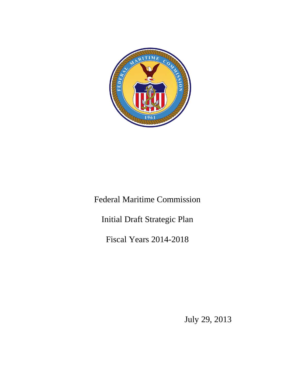

Federal Maritime Commission

Initial Draft Strategic Plan

Fiscal Years 2014-2018

July 29, 2013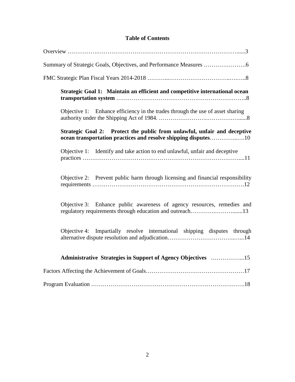# **Table of Contents**

| Strategic Goal 1: Maintain an efficient and competitive international ocean                                                                |
|--------------------------------------------------------------------------------------------------------------------------------------------|
| Objective 1: Enhance efficiency in the trades through the use of asset sharing                                                             |
| Strategic Goal 2: Protect the public from unlawful, unfair and deceptive<br>ocean transportation practices and resolve shipping disputes10 |
| Objective 1: Identify and take action to end unlawful, unfair and deceptive                                                                |
| Objective 2: Prevent public harm through licensing and financial responsibility                                                            |
| Objective 3: Enhance public awareness of agency resources, remedies and<br>regulatory requirements through education and outreach13        |
| Objective 4: Impartially resolve international shipping disputes through                                                                   |
|                                                                                                                                            |
|                                                                                                                                            |
|                                                                                                                                            |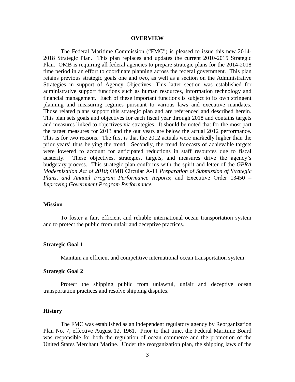#### **OVERVIEW**

The Federal Maritime Commission ("FMC") is pleased to issue this new 2014- 2018 Strategic Plan. This plan replaces and updates the current 2010-2015 Strategic Plan. OMB is requiring all federal agencies to prepare strategic plans for the 2014-2018 time period in an effort to coordinate planning across the federal government. This plan retains previous strategic goals one and two, as well as a section on the Administrative Strategies in support of Agency Objectives. This latter section was established for administrative support functions such as human resources, information technology and financial management. Each of these important functions is subject to its own stringent planning and measuring regimes pursuant to various laws and executive mandates. Those related plans support this strategic plan and are referenced and described herein. This plan sets goals and objectives for each fiscal year through 2018 and contains targets and measures linked to objectives via strategies. It should be noted that for the most part the target measures for 2013 and the out years are below the actual 2012 performance. This is for two reasons. The first is that the 2012 actuals were markedly higher than the prior years' thus belying the trend. Secondly, the trend forecasts of achievable targets were lowered to account for anticipated reductions in staff resources due to fiscal austerity. These objectives, strategies, targets, and measures drive the agency's budgetary process. This strategic plan conforms with the spirit and letter of the *GPRA Modernization Act of 2010*; OMB Circular A-11 *Preparation of Submission of Strategic Plans, and Annual Program Performance Reports*; and Executive Order 13450 – *Improving Government Program Performance.*

### **Mission**

To foster a fair, efficient and reliable international ocean transportation system and to protect the public from unfair and deceptive practices.

#### **Strategic Goal 1**

Maintain an efficient and competitive international ocean transportation system.

#### **Strategic Goal 2**

Protect the shipping public from unlawful, unfair and deceptive ocean transportation practices and resolve shipping disputes.

#### **History**

The FMC was established as an independent regulatory agency by Reorganization Plan No. 7, effective August 12, 1961. Prior to that time, the Federal Maritime Board was responsible for both the regulation of ocean commerce and the promotion of the United States Merchant Marine. Under the reorganization plan, the shipping laws of the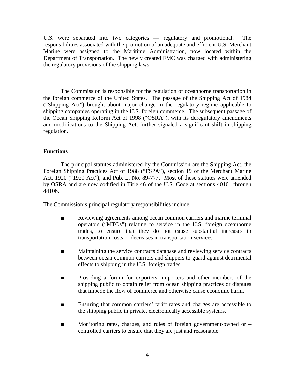U.S. were separated into two categories — regulatory and promotional. The responsibilities associated with the promotion of an adequate and efficient U.S. Merchant Marine were assigned to the Maritime Administration, now located within the Department of Transportation. The newly created FMC was charged with administering the regulatory provisions of the shipping laws.

The Commission is responsible for the regulation of oceanborne transportation in the foreign commerce of the United States. The passage of the Shipping Act of 1984 ("Shipping Act") brought about major change in the regulatory regime applicable to shipping companies operating in the U.S. foreign commerce. The subsequent passage of the Ocean Shipping Reform Act of 1998 ("OSRA"), with its deregulatory amendments and modifications to the Shipping Act, further signaled a significant shift in shipping regulation.

### **Functions**

The principal statutes administered by the Commission are the Shipping Act, the Foreign Shipping Practices Act of 1988 ("FSPA"), section 19 of the Merchant Marine Act, 1920 ("1920 Act"), and Pub. L. No. 89-777. Most of these statutes were amended by OSRA and are now codified in Title 46 of the U.S. Code at sections 40101 through 44106.

The Commission's principal regulatory responsibilities include:

- Reviewing agreements among ocean common carriers and marine terminal operators ("MTOs") relating to service in the U.S. foreign oceanborne trades, to ensure that they do not cause substantial increases in transportation costs or decreases in transportation services.
- Maintaining the service contracts database and reviewing service contracts between ocean common carriers and shippers to guard against detrimental effects to shipping in the U.S. foreign trades.
- Providing a forum for exporters, importers and other members of the shipping public to obtain relief from ocean shipping practices or disputes that impede the flow of commerce and otherwise cause economic harm.
- Ensuring that common carriers' tariff rates and charges are accessible to the shipping public in private, electronically accessible systems.
- Monitoring rates, charges, and rules of foreign government-owned or controlled carriers to ensure that they are just and reasonable.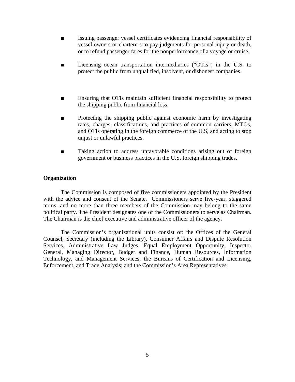- Issuing passenger vessel certificates evidencing financial responsibility of vessel owners or charterers to pay judgments for personal injury or death, or to refund passenger fares for the nonperformance of a voyage or cruise.
- Licensing ocean transportation intermediaries ("OTIs") in the U.S. to protect the public from unqualified, insolvent, or dishonest companies.
- Ensuring that OTIs maintain sufficient financial responsibility to protect the shipping public from financial loss.
- Protecting the shipping public against economic harm by investigating rates, charges, classifications, and practices of common carriers, MTOs, and OTIs operating in the foreign commerce of the U.S, and acting to stop unjust or unlawful practices.
- Taking action to address unfavorable conditions arising out of foreign government or business practices in the U.S. foreign shipping trades.

### **Organization**

The Commission is composed of five commissioners appointed by the President with the advice and consent of the Senate. Commissioners serve five-year, staggered terms, and no more than three members of the Commission may belong to the same political party. The President designates one of the Commissioners to serve as Chairman. The Chairman is the chief executive and administrative officer of the agency.

The Commission's organizational units consist of: the Offices of the General Counsel, Secretary (including the Library), Consumer Affairs and Dispute Resolution Services, Administrative Law Judges, Equal Employment Opportunity, Inspector General, Managing Director, Budget and Finance, Human Resources, Information Technology, and Management Services; the Bureaus of Certification and Licensing, Enforcement, and Trade Analysis; and the Commission's Area Representatives.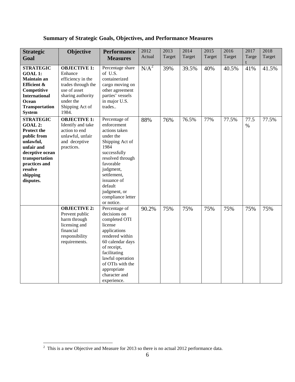|  | <b>Summary of Strategic Goals, Objectives, and Performance Measures</b> |
|--|-------------------------------------------------------------------------|
|--|-------------------------------------------------------------------------|

| <b>Strategic</b><br>Goal                                                                                                                                                              | Objective                                                                                                                                               | <b>Performance</b><br><b>Measures</b>                                                                                                                                                                                                           | 2012<br>Actual   | 2013<br>Target | 2014<br>Target | 2015<br>Target | 2016<br>Target | 2017<br>Targe | 2018<br>Target |
|---------------------------------------------------------------------------------------------------------------------------------------------------------------------------------------|---------------------------------------------------------------------------------------------------------------------------------------------------------|-------------------------------------------------------------------------------------------------------------------------------------------------------------------------------------------------------------------------------------------------|------------------|----------------|----------------|----------------|----------------|---------------|----------------|
| <b>STRATEGIC</b><br><b>GOAL 1:</b><br><b>Maintain an</b><br>Efficient &<br>Competitive<br><b>International</b><br>Ocean<br><b>Transportation</b><br><b>System</b>                     | <b>OBJECTIVE 1:</b><br>Enhance<br>efficiency in the<br>trades through the<br>use of asset<br>sharing authority<br>under the<br>Shipping Act of<br>1984. | Percentage share<br>of U.S.<br>containerized<br>cargo moving on<br>other agreement<br>parties' vessels<br>in major U.S.<br>trades                                                                                                               | N/A <sup>2</sup> | 39%            | 39.5%          | 40%            | 40.5%          | 41%           | 41.5%          |
| <b>STRATEGIC</b><br>GOAL 2:<br><b>Protect the</b><br>public from<br>unlawful,<br>unfair and<br>deceptive ocean<br>transportation<br>practices and<br>resolve<br>shipping<br>disputes. | <b>OBJECTIVE 1:</b><br>Identify and take<br>action to end<br>unlawful, unfair<br>and deceptive<br>practices.                                            | Percentage of<br>enforcement<br>actions taken<br>under the<br>Shipping Act of<br>1984<br>successfully<br>resolved through<br>favorable<br>judgment,<br>settlement,<br>issuance of<br>default<br>judgment, or<br>compliance letter<br>or notice. | 88%              | 76%            | 76.5%          | 77%            | 77.5%          | 77.5<br>$\%$  | 77.5%          |
|                                                                                                                                                                                       | <b>OBJECTIVE 2:</b><br>Prevent public<br>harm through<br>licensing and<br>financial<br>responsibility<br>requirements.                                  | Percentage of<br>decisions on<br>completed OTI<br>license<br>applications<br>rendered within<br>60 calendar days<br>of receipt,<br>facilitating<br>lawful operation<br>of OTIs with the<br>appropriate<br>character and<br>experience.          | 90.2%            | 75%            | 75%            | 75%            | 75%            | 75%           | 75%            |

 $\overline{\phantom{a}}$ 

<span id="page-5-0"></span> $\frac{1}{2}$  $\frac{1}{2}$  This is a new Objective and Measure for 2013 so there is no actual 2012 performance data.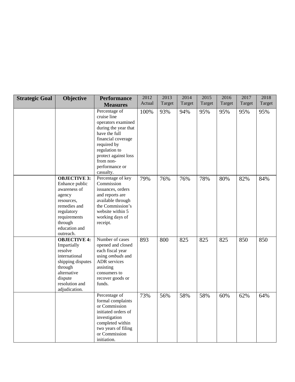| <b>Strategic Goal</b> | Objective                                                                                                                                                            | <b>Performance</b>                                                                                                                                                                                                    | 2012   | 2013   | 2014   | 2015   | 2016   | 2017   | 2018   |
|-----------------------|----------------------------------------------------------------------------------------------------------------------------------------------------------------------|-----------------------------------------------------------------------------------------------------------------------------------------------------------------------------------------------------------------------|--------|--------|--------|--------|--------|--------|--------|
|                       |                                                                                                                                                                      | <b>Measures</b>                                                                                                                                                                                                       | Actual | Target | Target | Target | Target | Target | Target |
|                       |                                                                                                                                                                      | Percentage of<br>cruise line<br>operators examined<br>during the year that<br>have the full<br>financial coverage<br>required by<br>regulation to<br>protect against loss<br>from non-<br>performance or<br>casualty. | 100%   | 93%    | 94%    | 95%    | 95%    | 95%    | 95%    |
|                       | <b>OBJECTIVE 3:</b><br>Enhance public<br>awareness of<br>agency<br>resources,<br>remedies and<br>regulatory<br>requirements<br>through<br>education and<br>outreach. | Percentage of key<br>Commission<br>issuances, orders<br>and reports are<br>available through<br>the Commission's<br>website within 5<br>working days of<br>receipt.                                                   | 79%    | 76%    | 76%    | 78%    | 80%    | 82%    | 84%    |
|                       | <b>OBJECTIVE 4:</b><br>Impartially<br>resolve<br>international<br>shipping disputes<br>through<br>alternative<br>dispute<br>resolution and<br>adjudication.          | Number of cases<br>opened and closed<br>each fiscal year<br>using ombuds and<br>ADR services<br>assisting<br>consumers to<br>recover goods or<br>funds.                                                               | 893    | 800    | 825    | 825    | 825    | 850    | 850    |
|                       |                                                                                                                                                                      | Percentage of<br>formal complaints<br>or Commission<br>initiated orders of<br>investigation<br>completed within<br>two years of filing<br>or Commission<br>initiation.                                                | 73%    | 56%    | 58%    | 58%    | 60%    | 62%    | 64%    |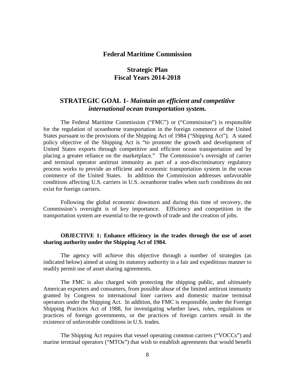## **Federal Maritime Commission**

# **Strategic Plan Fiscal Years 2014-2018**

# **STRATEGIC GOAL 1-** *Maintain an efficient and competitive international ocean transportation system.*

The Federal Maritime Commission ("FMC") or ("Commission") is responsible for the regulation of oceanborne transportation in the foreign commerce of the United States pursuant to the provisions of the Shipping Act of 1984 ("Shipping Act"). A stated policy objective of the Shipping Act is "to promote the growth and development of United States exports through competitive and efficient ocean transportation and by placing a greater reliance on the marketplace." The Commission's oversight of carrier and terminal operator antitrust immunity as part of a non-discriminatory regulatory process works to provide an efficient and economic transportation system in the ocean commerce of the United States. In addition the Commission addresses unfavorable conditions affecting U.S. carriers in U.S. oceanborne trades when such conditions do not exist for foreign carriers.

Following the global economic downturn and during this time of recovery, the Commission's oversight is of key importance. Efficiency and competition in the transportation system are essential to the re-growth of trade and the creation of jobs.

# **OBJECTIVE 1: Enhance efficiency in the trades through the use of asset sharing authority under the Shipping Act of 1984.**

The agency will achieve this objective through a number of strategies (as indicated below) aimed at using its statutory authority in a fair and expeditious manner to readily permit use of asset sharing agreements.

The FMC is also charged with protecting the shipping public, and ultimately American exporters and consumers, from possible abuse of the limited antitrust immunity granted by Congress to international liner carriers and domestic marine terminal operators under the Shipping Act. In addition, the FMC is responsible, under the Foreign Shipping Practices Act of 1988, for investigating whether laws, rules, regulations or practices of foreign governments, or the practices of foreign carriers result in the existence of unfavorable conditions in U.S. trades.

The Shipping Act requires that vessel operating common carriers ("VOCCs") and marine terminal operators ("MTOs") that wish to establish agreements that would benefit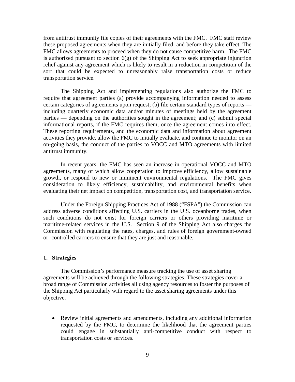from antitrust immunity file copies of their agreements with the FMC. FMC staff review these proposed agreements when they are initially filed, and before they take effect. The FMC allows agreements to proceed when they do not cause competitive harm. The FMC is authorized pursuant to section  $6(g)$  of the Shipping Act to seek appropriate injunction relief against any agreement which is likely to result in a reduction in competition of the sort that could be expected to unreasonably raise transportation costs or reduce transportation service.

The Shipping Act and implementing regulations also authorize the FMC to require that agreement parties (a) provide accompanying information needed to assess certain categories of agreements upon request; (b) file certain standard types of reports including quarterly economic data and/or minutes of meetings held by the agreement parties — depending on the authorities sought in the agreement; and (c) submit special informational reports, if the FMC requires them, once the agreement comes into effect. These reporting requirements, and the economic data and information about agreement activities they provide, allow the FMC to initially evaluate, and continue to monitor on an on-going basis, the conduct of the parties to VOCC and MTO agreements with limited antitrust immunity.

In recent years, the FMC has seen an increase in operational VOCC and MTO agreements, many of which allow cooperation to improve efficiency, allow sustainable growth, or respond to new or imminent environmental regulations. The FMC gives consideration to likely efficiency, sustainability, and environmental benefits when evaluating their net impact on competition, transportation cost, and transportation service.

Under the Foreign Shipping Practices Act of 1988 ("FSPA") the Commission can address adverse conditions affecting U.S. carriers in the U.S. oceanborne trades, when such conditions do not exist for foreign carriers or others providing maritime or maritime-related services in the U.S. Section 9 of the Shipping Act also charges the Commission with regulating the rates, charges, and rules of foreign government-owned or -controlled carriers to ensure that they are just and reasonable.

#### **1. Strategies**

The Commission's performance measure tracking the use of asset sharing agreements will be achieved through the following strategies. These strategies cover a broad range of Commission activities all using agency resources to foster the purposes of the Shipping Act particularly with regard to the asset sharing agreements under this objective.

• Review initial agreements and amendments, including any additional information requested by the FMC, to determine the likelihood that the agreement parties could engage in substantially anti-competitive conduct with respect to transportation costs or services.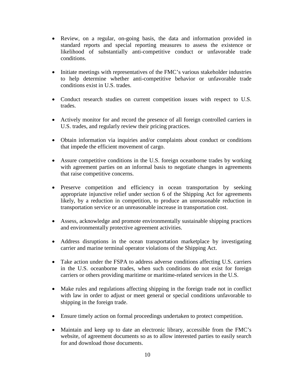- Review, on a regular, on-going basis, the data and information provided in standard reports and special reporting measures to assess the existence or likelihood of substantially anti-competitive conduct or unfavorable trade conditions.
- Initiate meetings with representatives of the FMC's various stakeholder industries to help determine whether anti-competitive behavior or unfavorable trade conditions exist in U.S. trades.
- Conduct research studies on current competition issues with respect to U.S. trades.
- Actively monitor for and record the presence of all foreign controlled carriers in U.S. trades, and regularly review their pricing practices.
- Obtain information via inquiries and/or complaints about conduct or conditions that impede the efficient movement of cargo.
- Assure competitive conditions in the U.S. foreign oceanborne trades by working with agreement parties on an informal basis to negotiate changes in agreements that raise competitive concerns.
- Preserve competition and efficiency in ocean transportation by seeking appropriate injunctive relief under section 6 of the Shipping Act for agreements likely, by a reduction in competition, to produce an unreasonable reduction in transportation service or an unreasonable increase in transportation cost.
- Assess, acknowledge and promote environmentally sustainable shipping practices and environmentally protective agreement activities.
- Address disruptions in the ocean transportation marketplace by investigating carrier and marine terminal operator violations of the Shipping Act.
- Take action under the FSPA to address adverse conditions affecting U.S. carriers in the U.S. oceanborne trades, when such conditions do not exist for foreign carriers or others providing maritime or maritime-related services in the U.S.
- Make rules and regulations affecting shipping in the foreign trade not in conflict with law in order to adjust or meet general or special conditions unfavorable to shipping in the foreign trade.
- Ensure timely action on formal proceedings undertaken to protect competition.
- Maintain and keep up to date an electronic library, accessible from the FMC's website, of agreement documents so as to allow interested parties to easily search for and download those documents.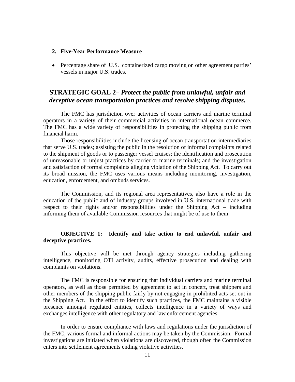#### **2. Five-Year Performance Measure**

• Percentage share of U.S. containerized cargo moving on other agreement parties' vessels in major U.S. trades.

# **STRATEGIC GOAL 2–** *Protect the public from unlawful, unfair and deceptive ocean transportation practices and resolve shipping disputes.*

The FMC has jurisdiction over activities of ocean carriers and marine terminal operators in a variety of their commercial activities in international ocean commerce. The FMC has a wide variety of responsibilities in protecting the shipping public from financial harm.

Those responsibilities include the licensing of ocean transportation intermediaries that serve U.S. trades; assisting the public in the resolution of informal complaints related to the shipment of goods or to passenger vessel cruises; the identification and prosecution of unreasonable or unjust practices by carrier or marine terminals; and the investigation and satisfaction of formal complaints alleging violation of the Shipping Act. To carry out its broad mission, the FMC uses various means including monitoring, investigation, education, enforcement, and ombuds services.

The Commission, and its regional area representatives, also have a role in the education of the public and of industry groups involved in U.S. international trade with respect to their rights and/or responsibilities under the Shipping Act – including informing them of available Commission resources that might be of use to them.

# **OBJECTIVE 1: Identify and take action to end unlawful, unfair and deceptive practices.**

This objective will be met through agency strategies including gathering intelligence, monitoring OTI activity, audits, effective prosecution and dealing with complaints on violations.

The FMC is responsible for ensuring that individual carriers and marine terminal operators, as well as those permitted by agreement to act in concert, treat shippers and other members of the shipping public fairly by not engaging in prohibited acts set out in the Shipping Act. In the effort to identify such practices, the FMC maintains a visible presence amongst regulated entities, collects intelligence in a variety of ways and exchanges intelligence with other regulatory and law enforcement agencies.

In order to ensure compliance with laws and regulations under the jurisdiction of the FMC, various formal and informal actions may be taken by the Commission. Formal investigations are initiated when violations are discovered, though often the Commission enters into settlement agreements ending violative activities.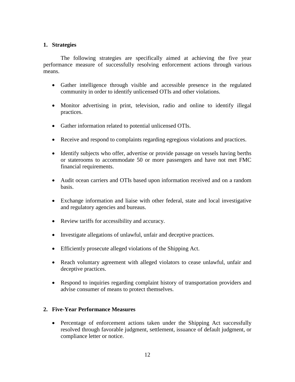### **1. Strategies**

The following strategies are specifically aimed at achieving the five year performance measure of successfully resolving enforcement actions through various means.

- Gather intelligence through visible and accessible presence in the regulated community in order to identify unlicensed OTIs and other violations.
- Monitor advertising in print, television, radio and online to identify illegal practices.
- Gather information related to potential unlicensed OTIs.
- Receive and respond to complaints regarding egregious violations and practices.
- Identify subjects who offer, advertise or provide passage on vessels having berths or staterooms to accommodate 50 or more passengers and have not met FMC financial requirements.
- Audit ocean carriers and OTIs based upon information received and on a random basis.
- Exchange information and liaise with other federal, state and local investigative and regulatory agencies and bureaus.
- Review tariffs for accessibility and accuracy.
- Investigate allegations of unlawful, unfair and deceptive practices.
- Efficiently prosecute alleged violations of the Shipping Act.
- Reach voluntary agreement with alleged violators to cease unlawful, unfair and deceptive practices.
- Respond to inquiries regarding complaint history of transportation providers and advise consumer of means to protect themselves.

### **2. Five-Year Performance Measures**

• Percentage of enforcement actions taken under the Shipping Act successfully resolved through favorable judgment, settlement, issuance of default judgment, or compliance letter or notice.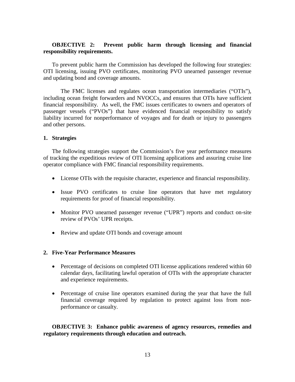### **OBJECTIVE 2: Prevent public harm through licensing and financial responsibility requirements.**

To prevent public harm the Commission has developed the following four strategies: OTI licensing, issuing PVO certificates, monitoring PVO unearned passenger revenue and updating bond and coverage amounts.

The FMC licenses and regulates ocean transportation intermediaries ("OTIs"), including ocean freight forwarders and NVOCCs, and ensures that OTIs have sufficient financial responsibility. As well, the FMC issues certificates to owners and operators of passenger vessels ("PVOs") that have evidenced financial responsibility to satisfy liability incurred for nonperformance of voyages and for death or injury to passengers and other persons.

### **1. Strategies**

The following strategies support the Commission's five year performance measures of tracking the expeditious review of OTI licensing applications and assuring cruise line operator compliance with FMC financial responsibility requirements.

- License OTIs with the requisite character, experience and financial responsibility.
- Issue PVO certificates to cruise line operators that have met regulatory requirements for proof of financial responsibility.
- Monitor PVO unearned passenger revenue ("UPR") reports and conduct on-site review of PVOs' UPR receipts.
- Review and update OTI bonds and coverage amount

### **2. Five-Year Performance Measures**

- Percentage of decisions on completed OTI license applications rendered within 60 calendar days, facilitating lawful operation of OTIs with the appropriate character and experience requirements.
- Percentage of cruise line operators examined during the year that have the full financial coverage required by regulation to protect against loss from nonperformance or casualty.

**OBJECTIVE 3: Enhance public awareness of agency resources, remedies and regulatory requirements through education and outreach.**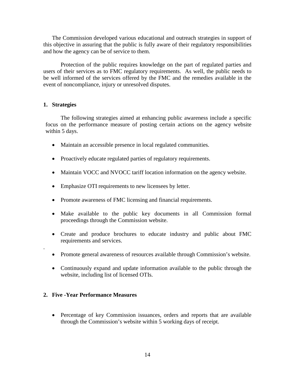The Commission developed various educational and outreach strategies in support of this objective in assuring that the public is fully aware of their regulatory responsibilities and how the agency can be of service to them.

Protection of the public requires knowledge on the part of regulated parties and users of their services as to FMC regulatory requirements. As well, the public needs to be well informed of the services offered by the FMC and the remedies available in the event of noncompliance, injury or unresolved disputes.

### **1. Strategies**

.

The following strategies aimed at enhancing public awareness include a specific focus on the performance measure of posting certain actions on the agency website within 5 days.

- Maintain an accessible presence in local regulated communities.
- Proactively educate regulated parties of regulatory requirements.
- Maintain VOCC and NVOCC tariff location information on the agency website.
- Emphasize OTI requirements to new licensees by letter.
- Promote awareness of FMC licensing and financial requirements.
- Make available to the public key documents in all Commission formal proceedings through the Commission website.
- Create and produce brochures to educate industry and public about FMC requirements and services.
- Promote general awareness of resources available through Commission's website.
- Continuously expand and update information available to the public through the website, including list of licensed OTIs.

### **2. Five -Year Performance Measures**

• Percentage of key Commission issuances, orders and reports that are available through the Commission's website within 5 working days of receipt.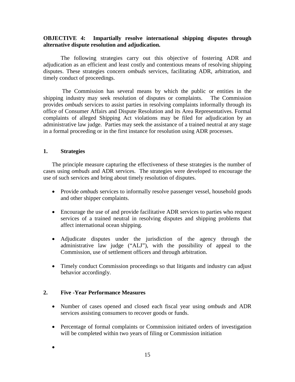# **OBJECTIVE 4: Impartially resolve international shipping disputes through alternative dispute resolution and adjudication.**

The following strategies carry out this objective of fostering ADR and adjudication as an efficient and least costly and contentious means of resolving shipping disputes. These strategies concern *ombuds* services, facilitating ADR, arbitration, and timely conduct of proceedings.

The Commission has several means by which the public or entities in the shipping industry may seek resolution of disputes or complaints. The Commission provides *ombuds* services to assist parties in resolving complaints informally through its office of Consumer Affairs and Dispute Resolution and its Area Representatives. Formal complaints of alleged Shipping Act violations may be filed for adjudication by an administrative law judge. Parties may seek the assistance of a trained neutral at any stage in a formal proceeding or in the first instance for resolution using ADR processes.

# **1. Strategies**

The principle measure capturing the effectiveness of these strategies is the number of cases using *ombuds* and ADR services. The strategies were developed to encourage the use of such services and bring about timely resolution of disputes.

- Provide *ombuds* services to informally resolve passenger vessel, household goods and other shipper complaints.
- Encourage the use of and provide facilitative ADR services to parties who request services of a trained neutral in resolving disputes and shipping problems that affect international ocean shipping.
- Adjudicate disputes under the jurisdiction of the agency through the administrative law judge ("ALJ"), with the possibility of appeal to the Commission, use of settlement officers and through arbitration.
- Timely conduct Commission proceedings so that litigants and industry can adjust behavior accordingly.

## **2. Five -Year Performance Measures**

- Number of cases opened and closed each fiscal year using *ombuds* and ADR services assisting consumers to recover goods or funds.
- Percentage of formal complaints or Commission initiated orders of investigation will be completed within two years of filing or Commission initiation

•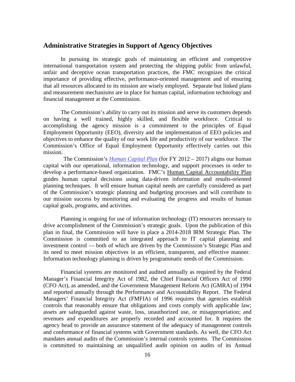# **Administrative Strategies in Support of Agency Objectives**

In pursuing its strategic goals of maintaining an efficient and competitive international transportation system and protecting the shipping public from unlawful, unfair and deceptive ocean transportation practices, the FMC recognizes the critical importance of providing effective, performance-oriented management and of ensuring that all resources allocated to its mission are wisely employed. Separate but linked plans and measurement mechanisms are in place for human capital, information technology and financial management at the Commission.

The Commission's ability to carry out its mission and serve its customers depends on having a well trained, highly skilled, and flexible workforce. Critical to accomplishing the agency mission is a commitment to the principles of Equal Employment Opportunity (EEO), diversity and the implementation of EEO policies and objectives to enhance the quality of our work life and productivity of our workforce. The Commission's Office of Equal Employment Opportunity effectively carries out this mission.

 The Commission's *[Human Capital Plan](http://fmcmail.fmc.gov/exchweb/bin/redir.asp?URL=http://home.fmc.gov/OMD/HCP.pdf)* (for FY 2012 – 2017) aligns our human capital with our operational, information technology, and support processes in order to develop a performance-based organization. FMC's [Human Capital Accountability Plan](http://fmcmail.fmc.gov/exchweb/bin/redir.asp?URL=http://home.fmc.gov/OMD/FMC%2520HC%2520Accountability%2520Plan-final.pdf) guides human capital decisions using data-driven information and results-oriented planning techniques. It will ensure human capital needs are carefully considered as part of the Commission's strategic planning and budgeting processes and will contribute to our mission success by monitoring and evaluating the progress and results of human capital goals, programs, and activities.

Planning is ongoing for use of information technology (IT) resources necessary to drive accomplishment of the Commission's strategic goals. Upon the publication of this plan in final, the Commission will have in place a 2014-2018 IRM Strategic Plan. The Commission is committed to an integrated approach to IT capital planning and investment control — both of which are driven by the Commission's Strategic Plan and its need to meet mission objectives in an efficient, transparent, and effective manner. Information technology planning is driven by programmatic needs of the Commission.

Financial systems are monitored and audited annually as required by the Federal Manager's Financial Integrity Act of 1982, the Chief Financial Officers Act of 1990 (CFO Act), as amended, and the Government Management Reform Act (GMRA) of 1994 and reported annually through the Performance and Accountability Report. The Federal Managers' Financial Integrity Act (FMFIA) of 1996 requires that agencies establish controls that reasonably ensure that obligations and costs comply with applicable law; assets are safeguarded against waste, loss, unauthorized use, or misappropriation; and revenues and expenditures are properly recorded and accounted for. It requires the agency head to provide an assurance statement of the adequacy of management controls and conformance of financial systems with Government standards. As well, the CFO Act mandates annual audits of the Commission's internal controls systems. The Commission is committed to maintaining an unqualified audit opinion on audits of its Annual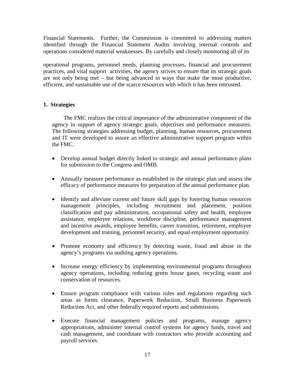Financial Statements. Further, the Commission is committed to addressing matters identified through the Financial Statement Audits involving internal controls and operations considered material weaknesses. By carefully and closely monitoring all of its

operational programs, personnel needs, planning processes, financial and procurement practices, and vital support activities, the agency strives to ensure that its strategic goals are not only being met – but being advanced in ways that make the most productive, efficient, and sustainable use of the scarce resources with which it has been entrusted.

# **1. Strategies**

 The FMC realizes the critical importance of the administrative component of the agency in support of agency strategic goals, objectives and performance measures. The following strategies addressing budget, planning, human resources, procurement and IT were developed to assure an effective administrative support program within the FMC.

- Develop annual budget directly linked to strategic and annual performance plans for submission to the Congress and OMB.
- Annually measure performance as established in the strategic plan and assess the efficacy of performance measures for preparation of the annual performance plan.
- Identify and alleviate current and future skill gaps by fostering human resources management principles, including recruitment and placement, position classification and pay administration, occupational safety and health, employee assistance, employee relations, workforce discipline, performance management and incentive awards, employee benefits, career transition, retirement, employee development and training, personnel security, and equal employment opportunity.
- Promote economy and efficiency by detecting waste, fraud and abuse in the agency's programs via auditing agency operations.
- Increase energy efficiency by implementing environmental programs throughout agency operations, including reducing green house gases, recycling waste and conservation of resources.
- Ensure program compliance with various rules and regulations regarding such areas as forms clearance, Paperwork Reduction, Small Business Paperwork Reduction Act, and other federally required reports and submissions.
- Execute financial management policies and programs, manage agency appropriations, administer internal control systems for agency funds, travel and cash management, and coordinate with contractors who provide accounting and payroll services.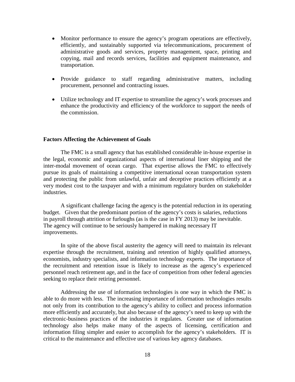- Monitor performance to ensure the agency's program operations are effectively, efficiently, and sustainably supported via telecommunications, procurement of administrative goods and services, property management, space, printing and copying, mail and records services, facilities and equipment maintenance, and transportation.
- Provide guidance to staff regarding administrative matters, including procurement, personnel and contracting issues.
- Utilize technology and IT expertise to streamline the agency's work processes and enhance the productivity and efficiency of the workforce to support the needs of the commission.

### **Factors Affecting the Achievement of Goals**

The FMC is a small agency that has established considerable in-house expertise in the legal, economic and organizational aspects of international liner shipping and the inter-modal movement of ocean cargo. That expertise allows the FMC to effectively pursue its goals of maintaining a competitive international ocean transportation system and protecting the public from unlawful, unfair and deceptive practices efficiently at a very modest cost to the taxpayer and with a minimum regulatory burden on stakeholder industries.

A significant challenge facing the agency is the potential reduction in its operating budget. Given that the predominant portion of the agency's costs is salaries, reductions in payroll through attrition or furloughs (as is the case in FY 2013) may be inevitable. The agency will continue to be seriously hampered in making necessary IT improvements.

In spite of the above fiscal austerity the agency will need to maintain its relevant expertise through the recruitment, training and retention of highly qualified attorneys, economists, industry specialists, and information technology experts. The importance of the recruitment and retention issue is likely to increase as the agency's experienced personnel reach retirement age, and in the face of competition from other federal agencies seeking to replace their retiring personnel.

Addressing the use of information technologies is one way in which the FMC is able to do more with less. The increasing importance of information technologies results not only from its contribution to the agency's ability to collect and process information more efficiently and accurately, but also because of the agency's need to keep up with the electronic-business practices of the industries it regulates. Greater use of information technology also helps make many of the aspects of licensing, certification and information filing simpler and easier to accomplish for the agency's stakeholders. IT is critical to the maintenance and effective use of various key agency databases.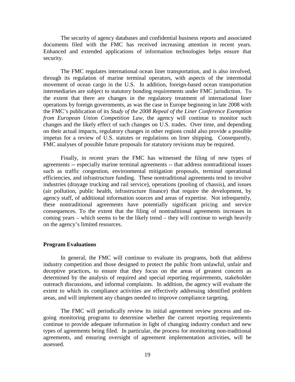The security of agency databases and confidential business reports and associated documents filed with the FMC has received increasing attention in recent years. Enhanced and extended applications of information technologies helps ensure that security.

The FMC regulates international ocean liner transportation, and is also involved, through its regulation of marine terminal operators, with aspects of the intermodal movement of ocean cargo in the U.S. In addition, foreign-based ocean transportation intermediaries are subject to statutory bonding requirements under FMC jurisdiction. To the extent that there are changes in the regulatory treatment of international liner operations by foreign governments, as was the case in Europe beginning in late 2008 with the FMC's publication of its *Study of the 2008 Repeal of the Liner Conference Exemption from European Union Competition Law*, the agency will continue to monitor such changes and the likely effect of such changes on U.S. trades. Over time, and depending on their actual impacts, regulatory changes in other regions could also provide a possible impetus for a review of U.S. statutes or regulations on liner shipping. Consequently, FMC analyses of possible future proposals for statutory revisions may be required.

Finally, in recent years the FMC has witnessed the filing of new types of agreements -- especially marine terminal agreements -- that address nontraditional issues such as traffic congestion, environmental mitigation proposals, terminal operational efficiencies, and infrastructure funding. These nontraditional agreements tend to involve industries (drayage trucking and rail service), operations (pooling of chassis), and issues (air pollution, public health, infrastructure finance) that require the development, by agency staff, of additional information sources and areas of expertise. Not infrequently, these nontraditional agreements have potentially significant pricing and service consequences. To the extent that the filing of nontraditional agreements increases in coming years – which seems to be the likely trend – they will continue to weigh heavily on the agency's limited resources.

### **Program Evaluations**

In general, the FMC will continue to evaluate its programs, both that address industry competition and those designed to protect the public from unlawful, unfair and deceptive practices, to ensure that they focus on the areas of greatest concern as determined by the analysis of required and special reporting requirements, stakeholder outreach discussions, and informal complaints. In addition, the agency will evaluate the extent to which its compliance activities are effectively addressing identified problem areas, and will implement any changes needed to improve compliance targeting.

The FMC will periodically review its initial agreement review process and ongoing monitoring programs to determine whether the current reporting requirements continue to provide adequate information in light of changing industry conduct and new types of agreements being filed. In particular, the process for monitoring non-traditional agreements, and ensuring oversight of agreement implementation activities, will be assessed.